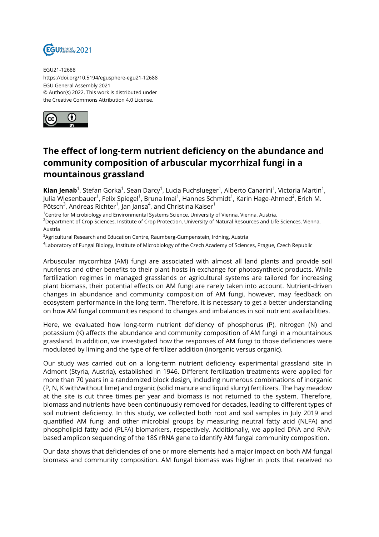

EGU21-12688 https://doi.org/10.5194/egusphere-egu21-12688 EGU General Assembly 2021 © Author(s) 2022. This work is distributed under the Creative Commons Attribution 4.0 License.



## **The effect of long-term nutrient deficiency on the abundance and community composition of arbuscular mycorrhizal fungi in a mountainous grassland**

**Kian Jenab**<sup>1</sup>, Stefan Gorka<sup>1</sup>, Sean Darcy<sup>1</sup>, Lucia Fuchslueger<sup>1</sup>, Alberto Canarini<sup>1</sup>, Victoria Martin<sup>1</sup>, Julia Wiesenbauer<sup>1</sup>, Felix Spiegel<sup>1</sup>, Bruna Imai<sup>1</sup>, Hannes Schmidt<sup>1</sup>, Karin Hage-Ahmed<sup>2</sup>, Erich M. Pötsch $^3$ , Andreas Richter $^1$ , Jan Jansa $^4$ , and Christina Kaiser $^1$ 

<sup>1</sup>Centre for Microbiology and Environmental Systems Science, University of Vienna, Vienna, Austria. <sup>2</sup>Department of Crop Sciences, Institute of Crop Protection, University of Natural Resources and Life Sciences, Vienna, Austria

<sup>3</sup>Agricultural Research and Education Centre, Raumberg-Gumpenstein, Irdning, Austria

4 Laboratory of Fungal Biology, Institute of Microbiology of the Czech Academy of Sciences, Prague, Czech Republic

Arbuscular mycorrhiza (AM) fungi are associated with almost all land plants and provide soil nutrients and other benefits to their plant hosts in exchange for photosynthetic products. While fertilization regimes in managed grasslands or agricultural systems are tailored for increasing plant biomass, their potential effects on AM fungi are rarely taken into account. Nutrient-driven changes in abundance and community composition of AM fungi, however, may feedback on ecosystem performance in the long term. Therefore, it is necessary to get a better understanding on how AM fungal communities respond to changes and imbalances in soil nutrient availabilities.

Here, we evaluated how long-term nutrient deficiency of phosphorus (P), nitrogen (N) and potassium (K) affects the abundance and community composition of AM fungi in a mountainous grassland. In addition, we investigated how the responses of AM fungi to those deficiencies were modulated by liming and the type of fertilizer addition (inorganic versus organic).

Our study was carried out on a long-term nutrient deficiency experimental grassland site in Admont (Styria, Austria), established in 1946. Different fertilization treatments were applied for more than 70 years in a randomized block design, including numerous combinations of inorganic (P, N, K with/without lime) and organic (solid manure and liquid slurry) fertilizers. The hay meadow at the site is cut three times per year and biomass is not returned to the system. Therefore, biomass and nutrients have been continuously removed for decades, leading to different types of soil nutrient deficiency. In this study, we collected both root and soil samples in July 2019 and quantified AM fungi and other microbial groups by measuring neutral fatty acid (NLFA) and phospholipid fatty acid (PLFA) biomarkers, respectively. Additionally, we applied DNA and RNAbased amplicon sequencing of the 18S rRNA gene to identify AM fungal community composition.

Our data shows that deficiencies of one or more elements had a major impact on both AM fungal biomass and community composition. AM fungal biomass was higher in plots that received no